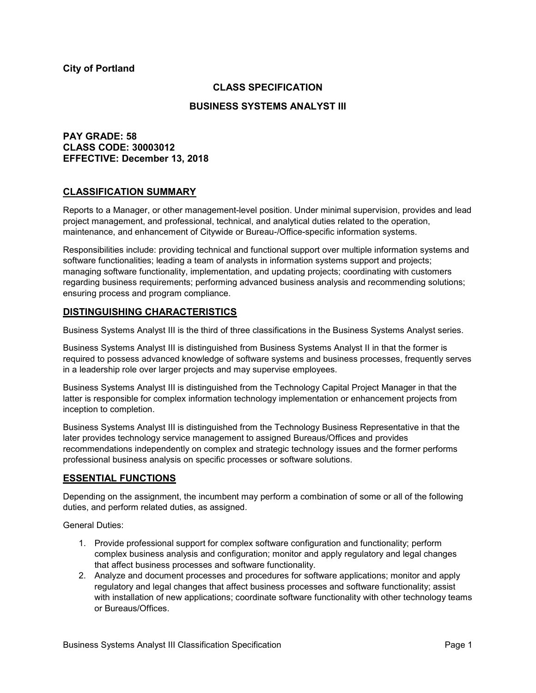### **City of Portland**

### **CLASS SPECIFICATION**

#### **BUSINESS SYSTEMS ANALYST III**

# **PAY GRADE: 58 CLASS CODE: 30003012 EFFECTIVE: December 13, 2018**

### **CLASSIFICATION SUMMARY**

Reports to a Manager, or other management-level position. Under minimal supervision, provides and lead project management, and professional, technical, and analytical duties related to the operation, maintenance, and enhancement of Citywide or Bureau-/Office-specific information systems.

Responsibilities include: providing technical and functional support over multiple information systems and software functionalities; leading a team of analysts in information systems support and projects; managing software functionality, implementation, and updating projects; coordinating with customers regarding business requirements; performing advanced business analysis and recommending solutions; ensuring process and program compliance.

#### **DISTINGUISHING CHARACTERISTICS**

Business Systems Analyst III is the third of three classifications in the Business Systems Analyst series.

Business Systems Analyst III is distinguished from Business Systems Analyst II in that the former is required to possess advanced knowledge of software systems and business processes, frequently serves in a leadership role over larger projects and may supervise employees.

Business Systems Analyst III is distinguished from the Technology Capital Project Manager in that the latter is responsible for complex information technology implementation or enhancement projects from inception to completion.

Business Systems Analyst III is distinguished from the Technology Business Representative in that the later provides technology service management to assigned Bureaus/Offices and provides recommendations independently on complex and strategic technology issues and the former performs professional business analysis on specific processes or software solutions.

### **ESSENTIAL FUNCTIONS**

Depending on the assignment, the incumbent may perform a combination of some or all of the following duties, and perform related duties, as assigned.

General Duties:

- 1. Provide professional support for complex software configuration and functionality; perform complex business analysis and configuration; monitor and apply regulatory and legal changes that affect business processes and software functionality.
- 2. Analyze and document processes and procedures for software applications; monitor and apply regulatory and legal changes that affect business processes and software functionality; assist with installation of new applications; coordinate software functionality with other technology teams or Bureaus/Offices.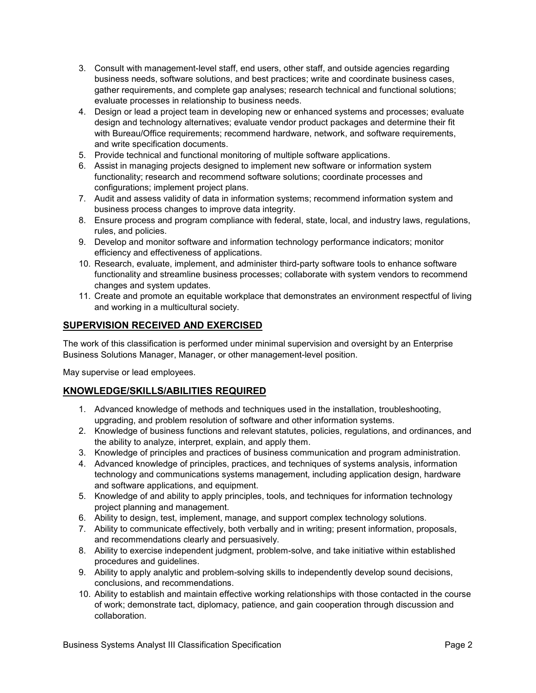- 3. Consult with management-level staff, end users, other staff, and outside agencies regarding business needs, software solutions, and best practices; write and coordinate business cases, gather requirements, and complete gap analyses; research technical and functional solutions; evaluate processes in relationship to business needs.
- 4. Design or lead a project team in developing new or enhanced systems and processes; evaluate design and technology alternatives; evaluate vendor product packages and determine their fit with Bureau/Office requirements; recommend hardware, network, and software requirements, and write specification documents.
- 5. Provide technical and functional monitoring of multiple software applications.
- 6. Assist in managing projects designed to implement new software or information system functionality; research and recommend software solutions; coordinate processes and configurations; implement project plans.
- 7. Audit and assess validity of data in information systems; recommend information system and business process changes to improve data integrity.
- 8. Ensure process and program compliance with federal, state, local, and industry laws, regulations, rules, and policies.
- 9. Develop and monitor software and information technology performance indicators; monitor efficiency and effectiveness of applications.
- 10. Research, evaluate, implement, and administer third-party software tools to enhance software functionality and streamline business processes; collaborate with system vendors to recommend changes and system updates.
- 11. Create and promote an equitable workplace that demonstrates an environment respectful of living and working in a multicultural society.

## **SUPERVISION RECEIVED AND EXERCISED**

The work of this classification is performed under minimal supervision and oversight by an Enterprise Business Solutions Manager, Manager, or other management-level position.

May supervise or lead employees.

### **KNOWLEDGE/SKILLS/ABILITIES REQUIRED**

- 1. Advanced knowledge of methods and techniques used in the installation, troubleshooting, upgrading, and problem resolution of software and other information systems.
- 2. Knowledge of business functions and relevant statutes, policies, regulations, and ordinances, and the ability to analyze, interpret, explain, and apply them.
- 3. Knowledge of principles and practices of business communication and program administration.
- 4. Advanced knowledge of principles, practices, and techniques of systems analysis, information technology and communications systems management, including application design, hardware and software applications, and equipment.
- 5. Knowledge of and ability to apply principles, tools, and techniques for information technology project planning and management.
- 6. Ability to design, test, implement, manage, and support complex technology solutions.
- 7. Ability to communicate effectively, both verbally and in writing; present information, proposals, and recommendations clearly and persuasively.
- 8. Ability to exercise independent judgment, problem-solve, and take initiative within established procedures and guidelines.
- 9. Ability to apply analytic and problem-solving skills to independently develop sound decisions, conclusions, and recommendations.
- 10. Ability to establish and maintain effective working relationships with those contacted in the course of work; demonstrate tact, diplomacy, patience, and gain cooperation through discussion and collaboration.